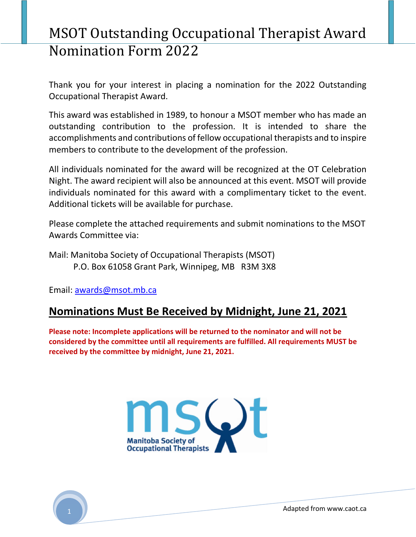## MSOT Outstanding Occupational Therapist Award Nomination Form 2022

Thank you for your interest in placing a nomination for the 2022 Outstanding Occupational Therapist Award.

This award was established in 1989, to honour a MSOT member who has made an outstanding contribution to the profession. It is intended to share the accomplishments and contributions of fellow occupational therapists and to inspire members to contribute to the development of the profession.

All individuals nominated for the award will be recognized at the OT Celebration Night. The award recipient will also be announced at this event. MSOT will provide individuals nominated for this award with a complimentary ticket to the event. Additional tickets will be available for purchase.

Please complete the attached requirements and submit nominations to the MSOT Awards Committee via:

Mail: Manitoba Society of Occupational Therapists (MSOT) P.O. Box 61058 Grant Park, Winnipeg, MB R3M 3X8

Email: awards@msot.mb.ca

### Nominations Must Be Received by Midnight, June 21, 2021

Please note: Incomplete applications will be returned to the nominator and will not be considered by the committee until all requirements are fulfilled. All requirements MUST be received by the committee by midnight, June 21, 2021.